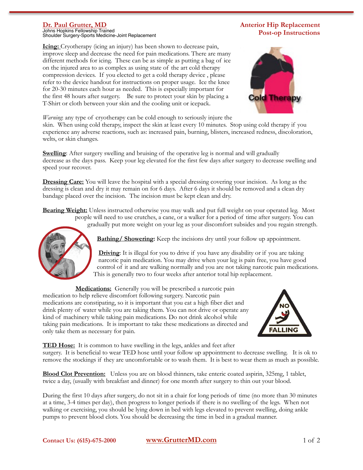## **Dr. Paul Grutter, MD**

Johns Hopkins Fellowship Trained Shoulder Surgery-Sports Medicine-Joint Replacement

## **Icing:** Cryotherapy (icing an injury) has been shown to decrease pain, improve sleep and decrease the need for pain medications. There are many different methods for icing. These can be as simple as putting a bag of ice on the injured area to as complex as using state of the art cold therapy compression devices. If you elected to get a cold therapy device , please refer to the device handout for instructions on proper usage. Ice the knee for 20-30 minutes each hour as needed. This is especially important for the first 48 hours after surgery. Be sure to protect your skin by placing a T-Shirt or cloth between your skin and the cooling unit or icepack.



**Anterior Hip Replacement**

*Warning*: any type of cryotherapy can be cold enough to seriously injure the

skin. When using cold therapy, inspect the skin at least every 10 minutes. Stop using cold therapy if you experience any adverse reactions, such as: increased pain, burning, blisters, increased redness, discoloration, welts, or skin changes.

**Swelling**: After surgery swelling and bruising of the operative leg is normal and will gradually decrease as the days pass. Keep your leg elevated for the first few days after surgery to decrease swelling and speed your recover.

**Dressing Care:** You will leave the hospital with a special dressing covering your incision. As long as the dressing is clean and dry it may remain on for 6 days. After 6 days it should be removed and a clean dry bandage placed over the incision. The incision must be kept clean and dry.

**Bearing Weight:** Unless instructed otherwise you may walk and put full weight on your operated leg. Most people will need to use crutches, a cane, or a walker for a period of time after surgery. You can gradually put more weight on your leg as your discomfort subsides and you regain strength.



**Bathing/ Showering:** Keep the incisions dry until your follow up appointment.

**Driving**: It is illegal for you to drive if you have any disability or if you are taking narcotic pain medication. You may drive when your leg is pain free, you have good control of it and are walking normally and you are not taking narcotic pain medications. This is generally two to four weeks after anterior total hip replacement.

**Medications:** Generally you will be prescribed a narcotic pain medication to help relieve discomfort following surgery. Narcotic pain medications are constipating, so it is important that you eat a high fiber diet and drink plenty of water while you are taking them. You can not drive or operate any kind of machinery while taking pain medications. Do not drink alcohol while taking pain medications. It is important to take these medications as directed and only take them as necessary for pain.



**TED Hose:** It is common to have swelling in the legs, ankles and feet after surgery. It is beneficial to wear TED hose until your follow up appointment to decrease swelling. It is ok to remove the stockings if they are uncomfortable or to wash them. It is best to wear them as much as possible.

**Blood Clot Prevention:** Unless you are on blood thinners, take enteric coated aspirin, 325mg, 1 tablet, twice a day, (usually with breakfast and dinner) for one month after surgery to thin out your blood.

During the first 10 days after surgery, do not sit in a chair for long periods of time (no more than 30 minutes at a time, 3-4 times per day), then progress to longer periods if there is no swelling of the legs. When not walking or exercising, you should be lying down in bed with legs elevated to prevent swelling, doing ankle pumps to prevent blood clots. You should be decreasing the time in bed in a gradual manner.